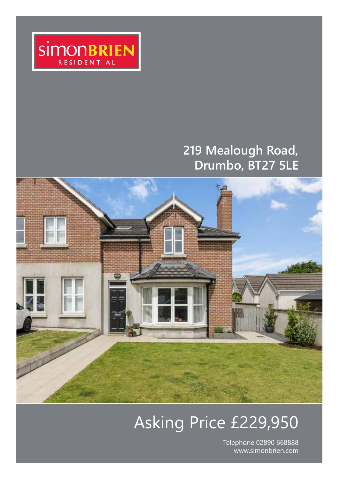

## **219 Mealough Road, Drumbo, BT27 5LE**



# Asking Price £229,950

Telephone 02890 668888 www.simonbrien.com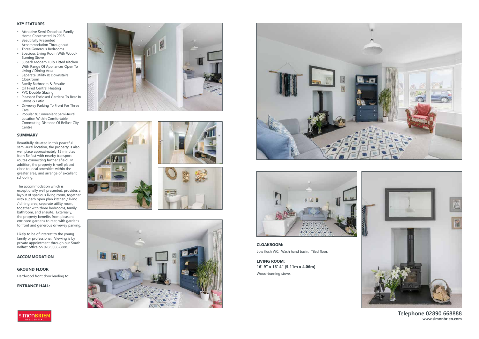**Telephone 02890 668888 www.simonbrien.com**

#### **KEY FEATURES**

- Attractive Semi-Detached Family Home Constructed In 2016
- Beautifully Presented Accommodation Throughout
- Three Generous Bedrooms
- Spacious Living Room With Wood-Burning Stove
- Superb Modern Fully Fitted Kitchen With Range Of Appliances Open To Living / Dining Area
- Separate Utility & Downstairs Cloakroom
- Family Bathroom & Ensuite
- Oil Fired Central Heating
- PVC Double Glazing
- Pleasant Enclosed Gardens To Rear In Lawns & Patio
- Driveway Parking To Front For Three Cars
- Popular & Convenient Semi-Rural Location Within Comfortable Commuting Distance Of Belfast City Centre

#### **SUMMARY**

Beautifully situated in this peaceful semi-rural location, the property is also well place approximately 15 minutes from Belfast with nearby transport routes connecting further afield. In addition, the property is well placed close to local amenities within the greater area, and arrange of excellent schooling.

The accommodation which is exceptionally well presented, provides a layout of spacious living room, together with superb open plan kitchen / living / dining area, separate utility room, together with three bedrooms, family bathroom, and ensuite. Externally, the property benefits from pleasant enclosed gardens to rear, with gardens to front and generous driveway parking.

Likely to be of interest to the young family or professional. Viewing is by private appointment through our South Belfast office on 028 9066 8888.

#### **ACCOMMODATION**

**GROUND FLOOR** Hardwood front door leading to:

**ENTRANCE HALL:** 















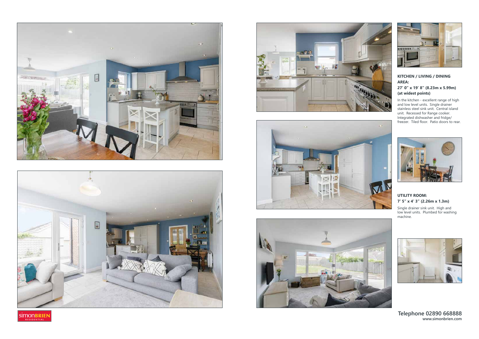### **Telephone 02890 668888 www.simonbrien.com**















#### **KITCHEN / LIVING / DINING AREA: 27' 0" x 19' 8" (8.23m x 5.99m) (at widest points)**

In the kitchen - excellent range of high and low level units. Single drainer stainless steel sink unit. Central island unit. Recessed for Range cooker. Integrated dishwasher and fridge/ freezer. Tiled floor. Patio doors to rear.



### **UTILITY ROOM: 7' 5" x 4' 3" (2.26m x 1.3m)**

Single drainer sink unit. High and low level units. Plumbed for washing machine.

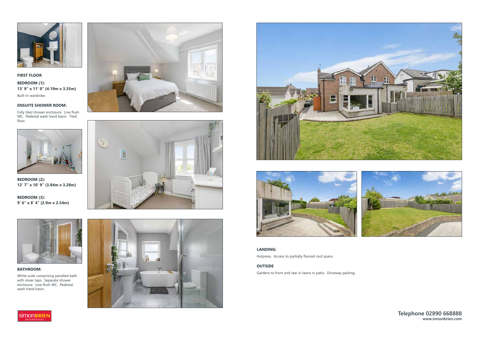**Telephone 02890 668888 www.simonbrien.com**



**FIRST FLOOR**

**BEDROOM (1): 13' 9" x 11' 0" (4.19m x 3.35m)**  Built-in wardrobe.

#### **ENSUITE SHOWER ROOM:**

Fully tiled shower enclosure. Low flush WC. Pedestal wash hand basin. Tiled floor.



**BEDROOM (2): 12' 7" x 10' 9" (3.84m x 3.28m)** 

**BEDROOM (3): 9' 6" x 8' 4" (2.9m x 2.54m)** 



**BATHROOM:** 

White suite comprising panelled bath with mixer taps. Separate shower enclosure. Low flush WC. Pedestal wash hand basin.











**LANDING:**  Hotpress. Access to partially floored roof space.

#### **OUTSIDE**

Gardens to front and rear in lawns in patio. Driveway parking.